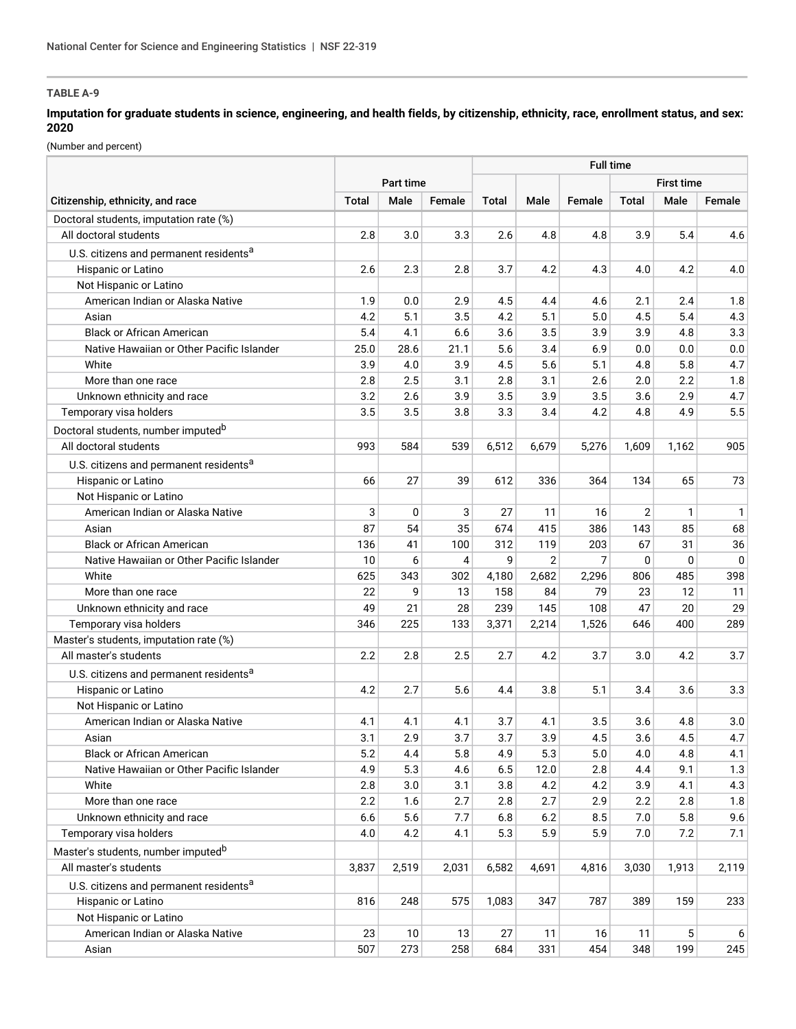# **TABLE A-9**

## **Imputation for graduate students in science, engineering, and health fields, by citizenship, ethnicity, race, enrollment status, and sex: 2020**

(Number and percent)

|                                                                          |                  | <b>Full time</b> |        |         |       |                |                |              |           |
|--------------------------------------------------------------------------|------------------|------------------|--------|---------|-------|----------------|----------------|--------------|-----------|
|                                                                          | <b>Part time</b> |                  |        |         |       |                | First time     |              |           |
| Citizenship, ethnicity, and race                                         | <b>Total</b>     | Male             | Female | Total   | Male  | Female         | <b>Total</b>   | Male         | Female    |
| Doctoral students, imputation rate (%)                                   |                  |                  |        |         |       |                |                |              |           |
| All doctoral students                                                    | 2.8              | 3.0              | 3.3    | 2.6     | 4.8   | 4.8            | 3.9            | 5.4          | 4.6       |
| U.S. citizens and permanent residents <sup>a</sup>                       |                  |                  |        |         |       |                |                |              |           |
| Hispanic or Latino                                                       | 2.6              | 2.3              | 2.8    | 3.7     | 4.2   | 4.3            | 4.0            | 4.2          | 4.0       |
| Not Hispanic or Latino                                                   |                  |                  |        |         |       |                |                |              |           |
| American Indian or Alaska Native                                         | 1.9              | 0.0              | 2.9    | 4.5     | 4.4   | 4.6            | 2.1            | 2.4          | 1.8       |
| Asian                                                                    | 4.2              | 5.1              | 3.5    | 4.2     | 5.1   | 5.0            | 4.5            | 5.4          | 4.3       |
| <b>Black or African American</b>                                         | 5.4              | 4.1              | 6.6    | 3.6     | 3.5   | 3.9            | 3.9            | 4.8          | 3.3       |
| Native Hawaiian or Other Pacific Islander                                | 25.0             | 28.6             | 21.1   | 5.6     | 3.4   | 6.9            | 0.0            | 0.0          | $0.0\,$   |
| White                                                                    | 3.9              | 4.0              | 3.9    | 4.5     | 5.6   | 5.1            | 4.8            | 5.8          | 4.7       |
| More than one race                                                       | 2.8              | 2.5              | 3.1    | 2.8     | 3.1   | 2.6            | 2.0            | 2.2          | 1.8       |
| Unknown ethnicity and race                                               | 3.2              | 2.6              | 3.9    | 3.5     | 3.9   | 3.5            | 3.6            | 2.9          | 4.7       |
| Temporary visa holders                                                   | 3.5              | 3.5              | 3.8    | 3.3     | 3.4   | 4.2            | 4.8            | 4.9          | 5.5       |
| Doctoral students, number imputed <sup>b</sup>                           |                  |                  |        |         |       |                |                |              |           |
| All doctoral students                                                    | 993              | 584              | 539    | 6,512   | 6,679 | 5,276          | 1,609          | 1,162        | 905       |
|                                                                          |                  |                  |        |         |       |                |                |              |           |
| U.S. citizens and permanent residents <sup>a</sup><br>Hispanic or Latino | 66               | 27               | 39     | 612     | 336   | 364            | 134            | 65           | 73        |
| Not Hispanic or Latino                                                   |                  |                  |        |         |       |                |                |              |           |
| American Indian or Alaska Native                                         | 3                | 0                | 3      | 27      | 11    | 16             | $\overline{2}$ | $\mathbf{1}$ | 1         |
| Asian                                                                    | 87               | 54               | 35     | 674     | 415   | 386            | 143            | 85           | 68        |
| <b>Black or African American</b>                                         | 136              | 41               | 100    | 312     | 119   | 203            | 67             | 31           | 36        |
| Native Hawaiian or Other Pacific Islander                                | 10               | 6                | 4      | 9       | 2     | $\overline{7}$ | 0              | 0            | $\pmb{0}$ |
| White                                                                    | 625              | 343              | 302    | 4,180   | 2,682 | 2,296          | 806            | 485          | 398       |
| More than one race                                                       | 22               | 9                | 13     | 158     | 84    | 79             | 23             | 12           | 11        |
| Unknown ethnicity and race                                               | 49               | 21               | 28     | 239     | 145   | 108            | 47             | 20           | 29        |
| Temporary visa holders                                                   | 346              | 225              | 133    | 3,371   | 2,214 | 1,526          | 646            | 400          | 289       |
| Master's students, imputation rate (%)                                   |                  |                  |        |         |       |                |                |              |           |
| All master's students                                                    | 2.2              | 2.8              | 2.5    | 2.7     | 4.2   | 3.7            | 3.0            | 4.2          | 3.7       |
|                                                                          |                  |                  |        |         |       |                |                |              |           |
| U.S. citizens and permanent residents <sup>a</sup>                       |                  |                  |        |         |       |                |                |              |           |
| Hispanic or Latino                                                       | 4.2              | 2.7              | 5.6    | 4.4     | 3.8   | 5.1            | 3.4            | 3.6          | 3.3       |
| Not Hispanic or Latino                                                   |                  |                  |        |         |       |                |                |              |           |
| American Indian or Alaska Native                                         | 4.1              | 4.1              | 4.1    | 3.7     | 4.1   | 3.5            | 3.6            | 4.8          | 3.0       |
| Asian                                                                    | 3.1              | 2.9              | 3.7    | 3.7     | 3.9   | 4.5            | 3.6            | 4.5          | 4.7       |
| <b>Black or African American</b>                                         | 5.2              | 4.4              | 5.8    | 4.9     | 5.3   | $5.0\,$        | 4.0            | 4.8          | 4.1       |
| Native Hawaiian or Other Pacific Islander                                | 4.9              | 5.3              | 4.6    | $6.5\,$ | 12.0  | 2.8            | 4.4            | 9.1          | 1.3       |
| White<br>More than one race                                              | 2.8              | 3.0              | 3.1    | 3.8     | 4.2   | 4.2            | 3.9            | 4.1          | 4.3       |
|                                                                          | 2.2              | 1.6              | 2.7    | 2.8     | 2.7   | 2.9            | 2.2            | 2.8          | 1.8       |
| Unknown ethnicity and race                                               | 6.6              | 5.6              | 7.7    | 6.8     | 6.2   | 8.5            | 7.0            | 5.8          | 9.6       |
| Temporary visa holders                                                   | 4.0              | 4.2              | 4.1    | 5.3     | 5.9   | 5.9            | 7.0            | 7.2          | 7.1       |
| Master's students, number imputed <sup>b</sup>                           |                  |                  |        |         |       |                |                |              |           |
| All master's students                                                    | 3,837            | 2,519            | 2,031  | 6,582   | 4,691 | 4,816          | 3,030          | 1,913        | 2,119     |
| U.S. citizens and permanent residents <sup>a</sup>                       |                  |                  |        |         |       |                |                |              |           |
| Hispanic or Latino                                                       | 816              | 248              | 575    | 1,083   | 347   | 787            | 389            | 159          | 233       |
| Not Hispanic or Latino                                                   |                  |                  |        |         |       |                |                |              |           |
| American Indian or Alaska Native                                         | 23               | 10               | 13     | 27      | 11    | 16             | 11             | 5            | 6         |
| Asian                                                                    | 507              | 273              | 258    | 684     | 331   | 454            | 348            | 199          | 245       |